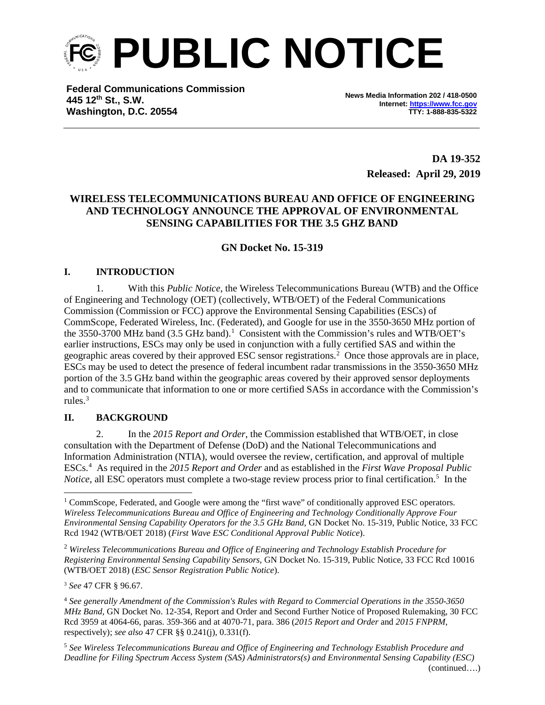

**Federal Communications Commission 445 12th St., S.W. Washington, D.C. 20554**

**News Media Information 202 / 418-0500 Internet[: https://www.fcc.gov](https://www.fcc.gov/) TTY: 1-888-835-5322**

> **DA 19-352 Released: April 29, 2019**

# **WIRELESS TELECOMMUNICATIONS BUREAU AND OFFICE OF ENGINEERING AND TECHNOLOGY ANNOUNCE THE APPROVAL OF ENVIRONMENTAL SENSING CAPABILITIES FOR THE 3.5 GHZ BAND**

### **GN Docket No. 15-319**

### **I. INTRODUCTION**

1. With this *Public Notice*, the Wireless Telecommunications Bureau (WTB) and the Office of Engineering and Technology (OET) (collectively, WTB/OET) of the Federal Communications Commission (Commission or FCC) approve the Environmental Sensing Capabilities (ESCs) of CommScope, Federated Wireless, Inc. (Federated), and Google for use in the 3550-3650 MHz portion of the 3550-3700 MHz band (3.5 GHz band). [1](#page-0-0) Consistent with the Commission's rules and WTB/OET's earlier instructions, ESCs may only be used in conjunction with a fully certified SAS and within the geographic areas covered by their approved ESC sensor registrations. [2](#page-0-1) Once those approvals are in place, ESCs may be used to detect the presence of federal incumbent radar transmissions in the 3550-3650 MHz portion of the 3.5 GHz band within the geographic areas covered by their approved sensor deployments and to communicate that information to one or more certified SASs in accordance with the Commission's rules. [3](#page-0-2)

#### **II. BACKGROUND**

2. In the *2015 Report and Order*, the Commission established that WTB/OET, in close consultation with the Department of Defense (DoD) and the National Telecommunications and Information Administration (NTIA), would oversee the review, certification, and approval of multiple ESCs. [4](#page-0-3) As required in the *2015 Report and Order* and as established in the *First Wave Proposal Public*  Notice, all ESC operators must complete a two-stage review process prior to final certification.<sup>[5](#page-1-0)</sup> In the

<span id="page-0-1"></span><sup>3</sup> *See* 47 CFR § 96.67.

<sup>5</sup> *See Wireless Telecommunications Bureau and Office of Engineering and Technology Establish Procedure and Deadline for Filing Spectrum Access System (SAS) Administrators(s) and Environmental Sensing Capability (ESC)*  (continued….)

<span id="page-0-0"></span> $1$  CommScope, Federated, and Google were among the "first wave" of conditionally approved ESC operators. *Wireless Telecommunications Bureau and Office of Engineering and Technology Conditionally Approve Four Environmental Sensing Capability Operators for the 3.5 GHz Band*, GN Docket No. 15-319, Public Notice, 33 FCC Rcd 1942 (WTB/OET 2018) (*First Wave ESC Conditional Approval Public Notice*).

<sup>2</sup> *Wireless Telecommunications Bureau and Office of Engineering and Technology Establish Procedure for Registering Environmental Sensing Capability Sensors*, GN Docket No. 15-319, Public Notice, 33 FCC Rcd 10016 (WTB/OET 2018) (*ESC Sensor Registration Public Notice*).

<span id="page-0-3"></span><span id="page-0-2"></span><sup>4</sup> *See generally Amendment of the Commission's Rules with Regard to Commercial Operations in the 3550-3650 MHz Band*, GN Docket No. 12-354, Report and Order and Second Further Notice of Proposed Rulemaking, 30 FCC Rcd 3959 at 4064-66, paras. 359-366 and at 4070-71, para. 386 (*2015 Report and Order* and *2015 FNPRM*, respectively); *see also* 47 CFR §§ 0.241(j), 0.331(f).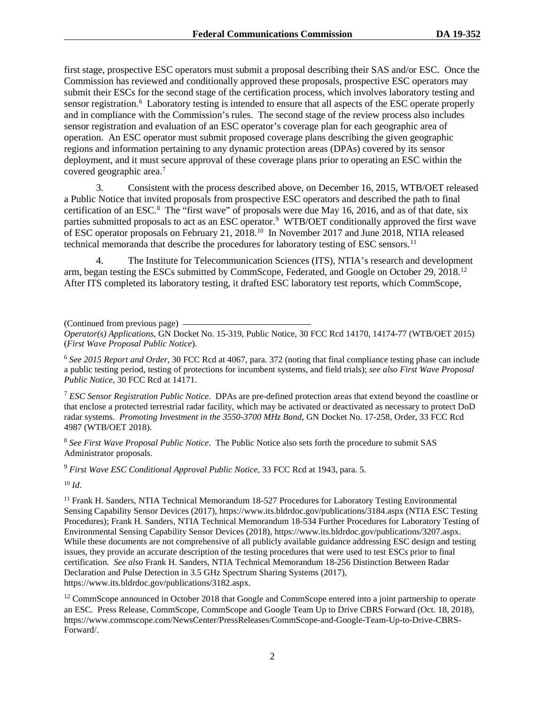first stage, prospective ESC operators must submit a proposal describing their SAS and/or ESC. Once the Commission has reviewed and conditionally approved these proposals, prospective ESC operators may submit their ESCs for the second stage of the certification process, which involves laboratory testing and sensor registration.<sup>[6](#page-1-1)</sup> Laboratory testing is intended to ensure that all aspects of the ESC operate properly and in compliance with the Commission's rules. The second stage of the review process also includes sensor registration and evaluation of an ESC operator's coverage plan for each geographic area of operation. An ESC operator must submit proposed coverage plans describing the given geographic regions and information pertaining to any dynamic protection areas (DPAs) covered by its sensor deployment, and it must secure approval of these coverage plans prior to operating an ESC within the covered geographic area. [7](#page-1-2)

3. Consistent with the process described above, on December 16, 2015, WTB/OET released a Public Notice that invited proposals from prospective ESC operators and described the path to final certification of an ESC.<sup>[8](#page-1-3)</sup> The "first wave" of proposals were due May 16, 2016, and as of that date, six parties submitted proposals to act as an ESC operator.<sup>[9](#page-1-4)</sup> WTB/OET conditionally approved the first wave of ESC operator proposals on February 21, 2018.<sup>[10](#page-1-5)</sup> In November 2017 and June 2018, NTIA released technical memoranda that describe the procedures for laboratory testing of ESC sensors.<sup>[11](#page-1-6)</sup>

4. The Institute for Telecommunication Sciences (ITS), NTIA's research and development arm, began testing the ESCs submitted by CommScope, Federated, and Google on October 29, 2018.[12](#page-1-7)  After ITS completed its laboratory testing, it drafted ESC laboratory test reports, which CommScope,

<span id="page-1-0"></span>(Continued from previous page)

*Operator(s) Applications*, GN Docket No. 15-319, Public Notice, 30 FCC Rcd 14170, 14174-77 (WTB/OET 2015) (*First Wave Proposal Public Notice*).

<span id="page-1-1"></span><sup>6</sup> *See 2015 Report and Order,* 30 FCC Rcd at 4067, para. 372 (noting that final compliance testing phase can include a public testing period, testing of protections for incumbent systems, and field trials); *see also First Wave Proposal Public Notice,* 30 FCC Rcd at 14171.

<span id="page-1-2"></span><sup>7</sup> *ESC Sensor Registration Public Notice*. DPAs are pre-defined protection areas that extend beyond the coastline or that enclose a protected terrestrial radar facility, which may be activated or deactivated as necessary to protect DoD radar systems. *Promoting Investment in the 3550-3700 MHz Band*, GN Docket No. 17-258, Order, 33 FCC Rcd 4987 (WTB/OET 2018).

<span id="page-1-3"></span><sup>8</sup> *See First Wave Proposal Public Notice*. The Public Notice also sets forth the procedure to submit SAS Administrator proposals.

<span id="page-1-4"></span><sup>9</sup> *First Wave ESC Conditional Approval Public Notice*, 33 FCC Rcd at 1943, para. 5.

<span id="page-1-5"></span><sup>10</sup> *Id*.

<span id="page-1-6"></span><sup>11</sup> Frank H. Sanders, NTIA Technical Memorandum 18-527 Procedures for Laboratory Testing Environmental Sensing Capability Sensor Devices (2017), https://www.its.bldrdoc.gov/publications/3184.aspx (NTIA ESC Testing Procedures); Frank H. Sanders, NTIA Technical Memorandum 18-534 Further Procedures for Laboratory Testing of Environmental Sensing Capability Sensor Devices (2018), https://www.its.bldrdoc.gov/publications/3207.aspx. While these documents are not comprehensive of all publicly available guidance addressing ESC design and testing issues, they provide an accurate description of the testing procedures that were used to test ESCs prior to final certification. *See also* Frank H. Sanders, NTIA Technical Memorandum 18-256 Distinction Between Radar Declaration and Pulse Detection in 3.5 GHz Spectrum Sharing Systems (2017), https://www.its.bldrdoc.gov/publications/3182.aspx.

<span id="page-1-7"></span><sup>12</sup> CommScope announced in October 2018 that Google and CommScope entered into a joint partnership to operate an ESC. Press Release, CommScope, CommScope and Google Team Up to Drive CBRS Forward (Oct. 18, 2018), https://www.commscope.com/NewsCenter/PressReleases/CommScope-and-Google-Team-Up-to-Drive-CBRS-Forward/.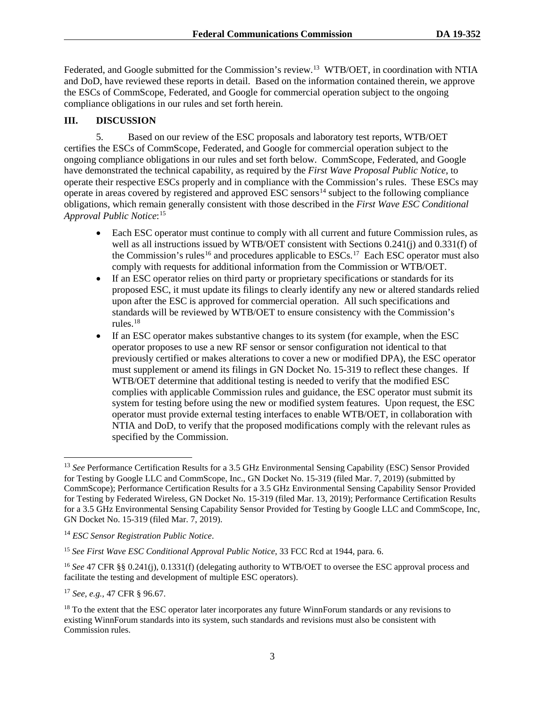Federated, and Google submitted for the Commission's review.<sup>[13](#page-2-0)</sup> WTB/OET, in coordination with NTIA and DoD, have reviewed these reports in detail. Based on the information contained therein, we approve the ESCs of CommScope, Federated, and Google for commercial operation subject to the ongoing compliance obligations in our rules and set forth herein.

# **III. DISCUSSION**

5. Based on our review of the ESC proposals and laboratory test reports, WTB/OET certifies the ESCs of CommScope, Federated, and Google for commercial operation subject to the ongoing compliance obligations in our rules and set forth below. CommScope, Federated, and Google have demonstrated the technical capability, as required by the *First Wave Proposal Public Notice*, to operate their respective ESCs properly and in compliance with the Commission's rules. These ESCs may operate in areas covered by registered and approved ESC sensors<sup>14</sup> subject to the following compliance obligations, which remain generally consistent with those described in the *First Wave ESC Conditional Approval Public Notice*: [15](#page-2-2)

- Each ESC operator must continue to comply with all current and future Commission rules, as well as all instructions issued by WTB/OET consistent with Sections 0.241(j) and 0.331(f) of the Commission's rules<sup>16</sup> and procedures applicable to ESCs.<sup>[17](#page-2-4)</sup> Each ESC operator must also comply with requests for additional information from the Commission or WTB/OET.
- If an ESC operator relies on third party or proprietary specifications or standards for its proposed ESC, it must update its filings to clearly identify any new or altered standards relied upon after the ESC is approved for commercial operation. All such specifications and standards will be reviewed by WTB/OET to ensure consistency with the Commission's rules.[18](#page-2-5)
- If an ESC operator makes substantive changes to its system (for example, when the ESC operator proposes to use a new RF sensor or sensor configuration not identical to that previously certified or makes alterations to cover a new or modified DPA), the ESC operator must supplement or amend its filings in GN Docket No. 15-319 to reflect these changes. If WTB/OET determine that additional testing is needed to verify that the modified ESC complies with applicable Commission rules and guidance, the ESC operator must submit its system for testing before using the new or modified system features. Upon request, the ESC operator must provide external testing interfaces to enable WTB/OET, in collaboration with NTIA and DoD, to verify that the proposed modifications comply with the relevant rules as specified by the Commission.

<span id="page-2-4"></span><sup>17</sup> *See, e.g.,* 47 CFR § 96.67.

<span id="page-2-0"></span> <sup>13</sup> *See* Performance Certification Results for a 3.5 GHz Environmental Sensing Capability (ESC) Sensor Provided for Testing by Google LLC and CommScope, Inc., GN Docket No. 15-319 (filed Mar. 7, 2019) (submitted by CommScope); Performance Certification Results for a 3.5 GHz Environmental Sensing Capability Sensor Provided for Testing by Federated Wireless, GN Docket No. 15-319 (filed Mar. 13, 2019); Performance Certification Results for a 3.5 GHz Environmental Sensing Capability Sensor Provided for Testing by Google LLC and CommScope, Inc, GN Docket No. 15-319 (filed Mar. 7, 2019).

<span id="page-2-1"></span><sup>14</sup> *ESC Sensor Registration Public Notice*.

<span id="page-2-2"></span><sup>&</sup>lt;sup>15</sup> See First Wave ESC Conditional Approval Public Notice, 33 FCC Rcd at 1944, para. 6.

<span id="page-2-3"></span><sup>&</sup>lt;sup>16</sup> See 47 CFR §§ 0.241(j), 0.1331(f) (delegating authority to WTB/OET to oversee the ESC approval process and facilitate the testing and development of multiple ESC operators).

<span id="page-2-5"></span><sup>&</sup>lt;sup>18</sup> To the extent that the ESC operator later incorporates any future WinnForum standards or any revisions to existing WinnForum standards into its system, such standards and revisions must also be consistent with Commission rules.